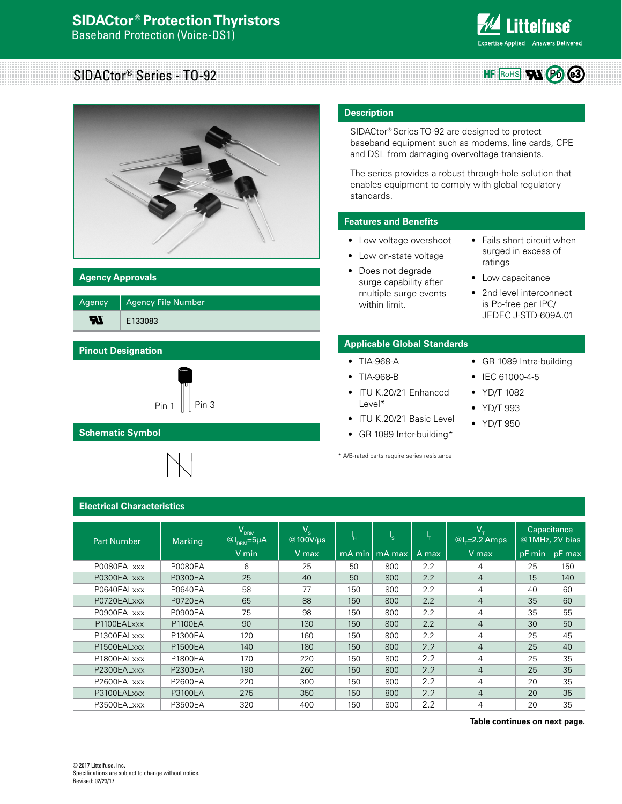

#### SIDACtor® Series - TO-92  $HF$  RoHS  $W$  $P_0$   $e3$



# **Agency Approvals**

| Agency | <b>Agency File Number</b> |
|--------|---------------------------|
| -W     | E133083                   |

# **Pinout Designation**



# **Schematic Symbol**



# **Description**

SIDACtor® Series TO-92 are designed to protect baseband equipment such as modems, line cards, CPE and DSL from damaging overvoltage transients.

The series provides a robust through-hole solution that enables equipment to comply with global regulatory standards.

## **Features and Benefits**

- Low voltage overshoot
- Low on-state voltage
- Does not degrade surge capability after multiple surge events within limit.
- Fails short circuit when surged in excess of ratings
- Low capacitance

• IEC 61000-4-5 • YD/T 1082 • YD/T 993 • YD/T 950

• 2nd level interconnect is Pb-free per IPC/ JEDEC J-STD-609A.01

# **Applicable Global Standards**

#### • TIA-968-A • GR 1089 Intra-building

- TIA-968-B
- ITU K.20/21 Enhanced Level\*
- ITU K.20/21 Basic Level
- GR 1089 Inter-building\*

\* A/B-rated parts require series resistance

**Electrical Characteristics**

| <b>Part Number</b> | <b>Marking</b> | $\rm V_{_{DRM}}$<br>$\boxed{\textcircled{a_1}}_{\textsf{\tiny{DRM}}}$ =5µA | $\mathsf{V}_{\mathsf{s}}^{-1}$<br>@100V/µs | 'n     | ı <sub>s</sub> | ъ.    | $V_{\tau}$<br>$@l_{r}=2.2$ Amps |        | Capacitance<br>@1MHz, 2V bias |
|--------------------|----------------|----------------------------------------------------------------------------|--------------------------------------------|--------|----------------|-------|---------------------------------|--------|-------------------------------|
|                    |                | V min                                                                      | V max                                      | mA min | mA max         | A max | V max                           | pF min | pF max                        |
| P0080EALxxx        | <b>P0080EA</b> | 6                                                                          | 25                                         | 50     | 800            | 2.2   | 4                               | 25     | 150                           |
| P0300EALxxx        | <b>P0300EA</b> | 25                                                                         | 40                                         | 50     | 800            | 2.2   | $\overline{4}$                  | 15     | 140                           |
| P0640EALxxx        | <b>P0640EA</b> | 58                                                                         | 77                                         | 150    | 800            | 2.2   | 4                               | 40     | 60                            |
| P0720EALxxx        | <b>P0720EA</b> | 65                                                                         | 88                                         | 150    | 800            | 2.2   | $\overline{4}$                  | 35     | 60                            |
| P0900EALxxx        | <b>P0900EA</b> | 75                                                                         | 98                                         | 150    | 800            | 2.2   | 4                               | 35     | 55                            |
| P1100EALxxx        | <b>P1100EA</b> | 90                                                                         | 130                                        | 150    | 800            | 2.2   | $\overline{4}$                  | 30     | 50                            |
| P1300EALxxx        | P1300EA        | 120                                                                        | 160                                        | 150    | 800            | 2.2   | $\overline{4}$                  | 25     | 45                            |
| P1500EALxxx        | P1500EA        | 140                                                                        | 180                                        | 150    | 800            | 2.2   | $\overline{4}$                  | 25     | 40                            |
| P1800EALxxx        | P1800EA        | 170                                                                        | 220                                        | 150    | 800            | 2.2   | $\overline{4}$                  | 25     | 35                            |
| P2300EALxxx        | <b>P2300EA</b> | 190                                                                        | 260                                        | 150    | 800            | 2.2   | $\overline{4}$                  | 25     | 35                            |
| P2600EALxxx        | P2600EA        | 220                                                                        | 300                                        | 150    | 800            | 2.2   | 4                               | 20     | 35                            |
| P3100EALxxx        | <b>P3100EA</b> | 275                                                                        | 350                                        | 150    | 800            | 2.2   | $\overline{4}$                  | 20     | 35                            |
| P3500EALxxx        | P3500EA        | 320                                                                        | 400                                        | 150    | 800            | 2.2   | 4                               | 20     | 35                            |

**Table continues on next page.**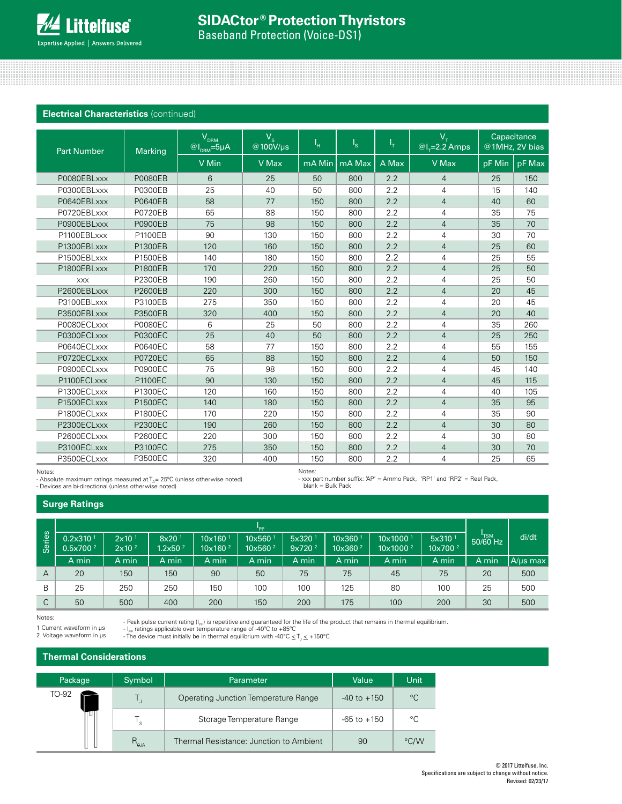### **Electrical Characteristics** (continued)

| <b>Part Number</b> | <b>Marking</b> | V <sub>DRM</sub><br>$@I_{DRM} = 5\mu A$ | $V_{\rm s}$<br>@100V/µs | Ч.     | $I_{\rm S}$ | Чт.   | $V_{\tau}$<br>$@I_{\tau}=2.2$ Amps |        | Capacitance<br>@1MHz, 2V bias |
|--------------------|----------------|-----------------------------------------|-------------------------|--------|-------------|-------|------------------------------------|--------|-------------------------------|
|                    |                | V Min                                   | V Max                   | mA Min | mA Max      | A Max | V Max                              | pF Min | pF Max                        |
| P0080EBLxxx        | <b>P0080EB</b> | 6                                       | 25                      | 50     | 800         | 2.2   | $\overline{4}$                     | 25     | 150                           |
| P0300EBLxxx        | P0300EB        | 25                                      | 40                      | 50     | 800         | 2.2   | 4                                  | 15     | 140                           |
| P0640EBLxxx        | P0640EB        | 58                                      | 77                      | 150    | 800         | 2.2   | $\overline{4}$                     | 40     | 60                            |
| P0720EBLxxx        | <b>P0720EB</b> | 65                                      | 88                      | 150    | 800         | 2.2   | 4                                  | 35     | 75                            |
| P0900EBLxxx        | <b>P0900EB</b> | 75                                      | 98                      | 150    | 800         | 2.2   | $\overline{4}$                     | 35     | 70                            |
| P1100EBLxxx        | P1100EB        | 90                                      | 130                     | 150    | 800         | 2.2   | 4                                  | 30     | 70                            |
| P1300EBLxxx        | P1300EB        | 120                                     | 160                     | 150    | 800         | 2.2   | $\overline{4}$                     | 25     | 60                            |
| P1500EBLxxx        | P1500EB        | 140                                     | 180                     | 150    | 800         | 2.2   | $\overline{4}$                     | 25     | 55                            |
| P1800EBLxxx        | P1800EB        | 170                                     | 220                     | 150    | 800         | 2.2   | $\overline{4}$                     | 25     | 50                            |
| <b>XXX</b>         | <b>P2300EB</b> | 190                                     | 260                     | 150    | 800         | 2.2   | $\overline{4}$                     | 25     | 50                            |
| P2600EBLxxx        | P2600EB        | 220                                     | 300                     | 150    | 800         | 2.2   | $\overline{4}$                     | 20     | 45                            |
| P3100EBLxxx        | P3100EB        | 275                                     | 350                     | 150    | 800         | 2.2   | 4                                  | 20     | 45                            |
| P3500EBLxxx        | <b>P3500EB</b> | 320                                     | 400                     | 150    | 800         | 2.2   | $\overline{4}$                     | 20     | 40                            |
| P0080ECLxxx        | <b>P0080EC</b> | 6                                       | 25                      | 50     | 800         | 2.2   | $\overline{4}$                     | 35     | 260                           |
| P0300ECLxxx        | <b>P0300EC</b> | 25                                      | 40                      | 50     | 800         | 2.2   | $\overline{4}$                     | 25     | 250                           |
| P0640ECLxxx        | P0640EC        | 58                                      | 77                      | 150    | 800         | 2.2   | 4                                  | 55     | 155                           |
| P0720ECLxxx        | <b>P0720EC</b> | 65                                      | 88                      | 150    | 800         | 2.2   | $\overline{4}$                     | 50     | 150                           |
| P0900ECLxxx        | <b>P0900EC</b> | 75                                      | 98                      | 150    | 800         | 2.2   | 4                                  | 45     | 140                           |
| P1100ECLxxx        | <b>P1100EC</b> | 90                                      | 130                     | 150    | 800         | 2.2   | $\overline{4}$                     | 45     | 115                           |
| P1300ECLxxx        | P1300EC        | 120                                     | 160                     | 150    | 800         | 2.2   | 4                                  | 40     | 105                           |
| P1500ECLxxx        | <b>P1500EC</b> | 140                                     | 180                     | 150    | 800         | 2.2   | $\overline{4}$                     | 35     | 95                            |
| P1800ECLxxx        | <b>P1800EC</b> | 170                                     | 220                     | 150    | 800         | 2.2   | 4                                  | 35     | 90                            |
| P2300ECLxxx        | <b>P2300EC</b> | 190                                     | 260                     | 150    | 800         | 2.2   | $\overline{4}$                     | 30     | 80                            |
| P2600ECLxxx        | P2600EC        | 220                                     | 300                     | 150    | 800         | 2.2   | 4                                  | 30     | 80                            |
| P3100ECLxxx        | <b>P3100EC</b> | 275                                     | 350                     | 150    | 800         | 2.2   | $\overline{4}$                     | 30     | 70                            |
| P3500ECLxxx        | P3500EC        | 320                                     | 400                     | 150    | 800         | 2.2   | 4                                  | 25     | 65                            |

Notes:

- Absolute maximum ratings measured at  $T_A$  = 25°C (unless otherwise noted). - Devices are bi-directional (unless otherwise noted).

Notes:

- xxx part number suffix: 'AP' = Ammo Pack, 'RP1' and 'RP2' = Reel Pack, blank = Bulk Pack

#### **Surge Ratings**

|                |                                              |                                        |                                          |                                      | "PP                                        |                                          |                               |                                              |                                           |                  |               |
|----------------|----------------------------------------------|----------------------------------------|------------------------------------------|--------------------------------------|--------------------------------------------|------------------------------------------|-------------------------------|----------------------------------------------|-------------------------------------------|------------------|---------------|
| Series         | 0.2x310 <sup>1</sup><br>0.5x700 <sup>2</sup> | 2x10 <sup>1</sup><br>2x10 <sup>2</sup> | 8x20 <sup>1</sup><br>1.2x50 <sup>2</sup> | $10\times160$<br>10x160 <sup>2</sup> | 10x560 <sup>1</sup><br>10x560 <sup>2</sup> | 5x320 <sup>1</sup><br>9x720 <sup>2</sup> | 10x360<br>10x360 <sup>2</sup> | 10x1000 <sup>1</sup><br>10x1000 <sup>2</sup> | 5x310 <sup>1</sup><br>10x700 <sup>2</sup> | 'TSM<br>50/60 Hz | di/dt         |
|                | A min                                        | A min                                  | A min                                    | A min                                | A min                                      | A min                                    | A min                         | A min                                        | A min                                     | A min            | $A/\mu s$ max |
| $\overline{A}$ | 20                                           | 150                                    | 150                                      | 90                                   | 50                                         | 75                                       | 75                            | 45                                           | 75                                        | 20               | 500           |
| B              | 25                                           | 250                                    | 250                                      | 150                                  | 100                                        | 100                                      | 125                           | 80                                           | 100                                       | 25               | 500           |
| C              | 50                                           | 500                                    | 400                                      | 200                                  | 150                                        | 200                                      | 175                           | 100                                          | 200                                       | 30               | 500           |

Notes:

- Peak pulse current rating (I<sub>PP</sub>) is repetitive and guaranteed for the life of the product that remains in thermal equilibrium.<br>- I<sub>PP</sub> ratings applicable over temperature range of -40°C to +85°C<br>- The device must initi

1 Current waveform in µs 2 Voltage waveform in µs

| <b>Thermal Considerations</b> |  |  |
|-------------------------------|--|--|
|                               |  |  |

| Package               | Symbol | Parameter                               | Value           | Unit          |
|-----------------------|--------|-----------------------------------------|-----------------|---------------|
| TO-92                 |        | Operating Junction Temperature Range    | $-40$ to $+150$ | $^{\circ}C$   |
| י כ<br>$R_{\theta$ JA |        | Storage Temperature Range               | $-65$ to $+150$ | °C            |
|                       |        | Thermal Resistance: Junction to Ambient | 90              | $\degree$ C/W |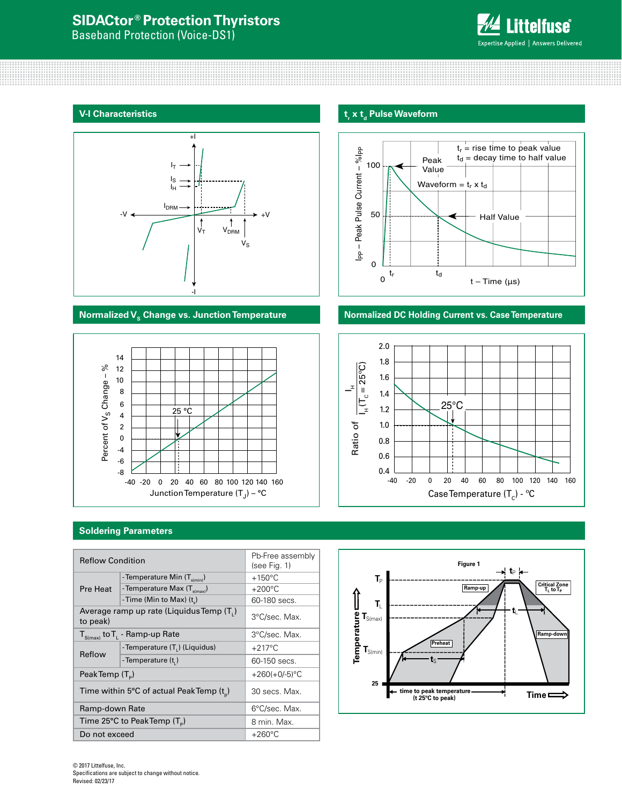# **SIDACtor ® Protection Thyristors**

Baseband Protection (Voice-DS1)



# **V-I Characteristics**





# **t**, **x t**<sub>d</sub> Pulse Waveform



# **Normalized V<sub>s</sub> Change vs. Junction Temperature <b>Normalized DC Holding Current vs. Case Temperature**



# **Soldering Parameters**

| <b>Reflow Condition</b> |                                                      | Pb-Free assembly<br>(see Fig. 1) |
|-------------------------|------------------------------------------------------|----------------------------------|
|                         | -Temperature Min (T <sub>s(min)</sub> )              | $+150^{\circ}$ C                 |
| Pre Heat                | - Temperature Max (T <sub>s(max)</sub> )             | $+200^{\circ}$ C                 |
|                         | -Time (Min to Max) (t)                               | 60-180 secs.                     |
| to peak)                | Average ramp up rate (Liquidus Temp (T,)             | 3°C/sec. Max.                    |
|                         | $T_{S(max)}$ to $T_{L}$ - Ramp-up Rate               | 3°C/sec. Max.                    |
|                         | -Temperature (T.) (Liquidus)                         | $+217^{\circ}$ C                 |
| Reflow                  | - Temperature (t,)                                   | 60-150 secs.                     |
| Peak Temp $(T_{n})$     |                                                      | $+260(+0/-5)$ °C                 |
|                         | Time within 5°C of actual PeakTemp (t <sub>n</sub> ) | 30 secs. Max.                    |
| Ramp-down Rate          |                                                      | 6°C/sec. Max.                    |
|                         | Time 25°C to Peak Temp $(T_{\rm s})$                 | 8 min. Max.                      |
| Do not exceed           |                                                      | $+260^{\circ}$ C                 |

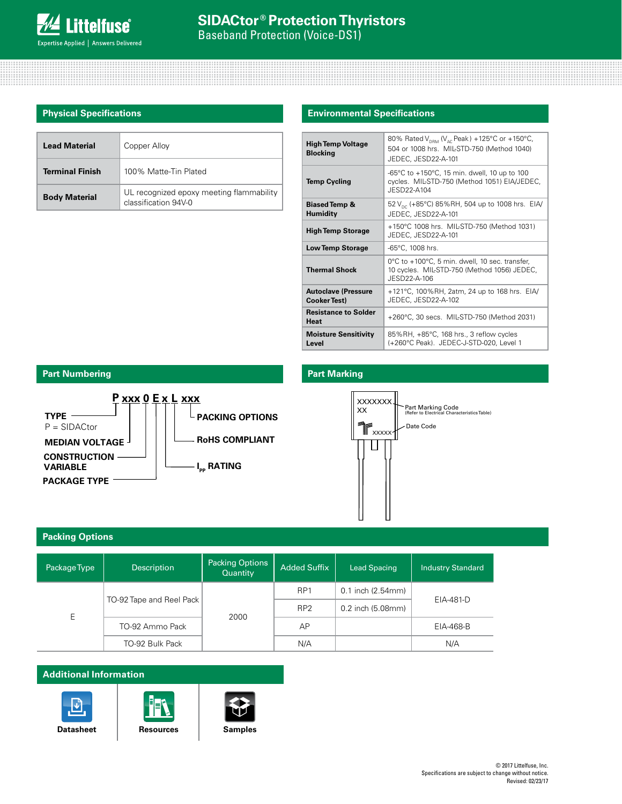# **Physical Specifications**

| <b>Lead Material</b>   | Copper Alloy                                                     |
|------------------------|------------------------------------------------------------------|
| <b>Terminal Finish</b> | 100% Matte-Tin Plated                                            |
| <b>Body Material</b>   | UL recognized epoxy meeting flammability<br>classification 94V-0 |

### **Environmental Specifications**

| <b>High Temp Voltage</b><br><b>Blocking</b>       | 80% Rated V <sub>DRM</sub> (V <sub>AC</sub> Peak) +125°C or +150°C,<br>504 or 1008 hrs. MIL-STD-750 (Method 1040)<br>JEDEC, JESD22-A-101 |
|---------------------------------------------------|------------------------------------------------------------------------------------------------------------------------------------------|
| <b>Temp Cycling</b>                               | -65°C to $+150$ °C, 15 min. dwell, 10 up to 100<br>cycles. MIL-STD-750 (Method 1051) EIA/JEDEC,<br>JESD22-A104                           |
| <b>Biased Temp &amp;</b><br><b>Humidity</b>       | 52 V <sub>pc</sub> (+85°C) 85%RH, 504 up to 1008 hrs. EIA/<br>JEDEC, JESD22-A-101                                                        |
| <b>High Temp Storage</b>                          | +150°C 1008 hrs. MIL-STD-750 (Method 1031)<br>JEDEC, JESD22-A-101                                                                        |
| <b>Low Temp Storage</b>                           | -65°C, 1008 hrs.                                                                                                                         |
| <b>Thermal Shock</b>                              | 0°C to +100°C, 5 min. dwell, 10 sec. transfer,<br>10 cycles. MIL-STD-750 (Method 1056) JEDEC,<br>JFSD22-A-106                            |
| <b>Autoclave (Pressure</b><br><b>Cooker Test)</b> | +121°C, 100%RH, 2atm, 24 up to 168 hrs. EIA/<br>JEDEC, JESD22-A-102                                                                      |
| <b>Resistance to Solder</b><br><b>Heat</b>        | +260°C, 30 secs. MIL-STD-750 (Method 2031)                                                                                               |
| <b>Moisture Sensitivity</b><br>Level              | 85%RH, +85°C, 168 hrs., 3 reflow cycles<br>(+260°C Peak). JEDEC-J-STD-020, Level 1                                                       |

# **Part Numbering Part Marking**





### **Packing Options**

| Package Type | <b>Description</b>       | <b>Packing Options</b><br>Quantity | <b>Added Suffix</b> | <b>Lead Spacing</b>       | <b>Industry Standard</b> |  |
|--------------|--------------------------|------------------------------------|---------------------|---------------------------|--------------------------|--|
| E            |                          |                                    | RP <sub>1</sub>     | $0.1$ inch $(2.54$ mm $)$ |                          |  |
|              | TO-92 Tape and Reel Pack |                                    | RP <sub>2</sub>     | 0.2 inch (5.08mm)         | EIA-481-D                |  |
|              | TO-92 Ammo Pack          | 2000                               | AP                  |                           | EIA-468-B                |  |
|              | TO-92 Bulk Pack          |                                    | N/A                 |                           | N/A                      |  |

## **Additional Information**